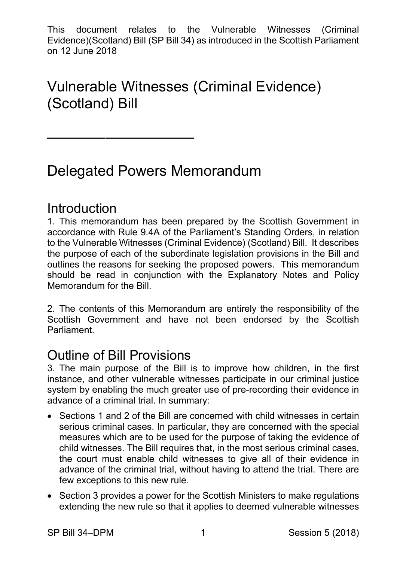# (Scotland) Bill Vulnerable Witnesses (Criminal Evidence)

# Delegated Powers Memorandum

——————————

## **Introduction**

 1. This memorandum has been prepared by the Scottish Government in accordance with Rule 9.4A of the Parliament's Standing Orders, in relation to the Vulnerable Witnesses (Criminal Evidence) (Scotland) Bill. It describes outlines the reasons for seeking the proposed powers. This memorandum should be read in conjunction with the Explanatory Notes and Policy the purpose of each of the subordinate legislation provisions in the Bill and Memorandum for the Bill.

 2. The contents of this Memorandum are entirely the responsibility of the Scottish Government and have not been endorsed by the Scottish Parliament.

## Outline of Bill Provisions

 3. The main purpose of the Bill is to improve how children, in the first instance, and other vulnerable witnesses participate in our criminal justice system by enabling the much greater use of pre-recording their evidence in advance of a criminal trial. In summary:

- • Sections 1 and 2 of the Bill are concerned with child witnesses in certain measures which are to be used for the purpose of taking the evidence of child witnesses. The Bill requires that, in the most serious criminal cases, advance of the criminal trial, without having to attend the trial. There are few exceptions to this new rule. serious criminal cases. In particular, they are concerned with the special the court must enable child witnesses to give all of their evidence in
- • Section 3 provides a power for the Scottish Ministers to make regulations extending the new rule so that it applies to deemed vulnerable witnesses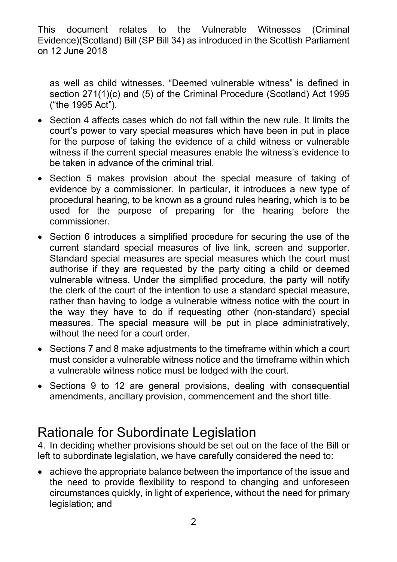as well as child witnesses. "Deemed vulnerable witness" is defined in section 271(1)(c) and (5) of the Criminal Procedure (Scotland) Act 1995 ("the 1995 Act").

- • Section 4 affects cases which do not fall within the new rule. It limits the court's power to vary special measures which have been in put in place for the purpose of taking the evidence of a child witness or vulnerable witness if the current special measures enable the witness's evidence to be taken in advance of the criminal trial.
- • Section 5 makes provision about the special measure of taking of procedural hearing, to be known as a ground rules hearing, which is to be used for the purpose of preparing for the hearing before the evidence by a commissioner. In particular, it introduces a new type of commissioner.
- • Section 6 introduces a simplified procedure for securing the use of the current standard special measures of live link, screen and supporter. Standard special measures are special measures which the court must authorise if they are requested by the party citing a child or deemed vulnerable witness. Under the simplified procedure, the party will notify rather than having to lodge a vulnerable witness notice with the court in the clerk of the court of the intention to use a standard special measure, the way they have to do if requesting other (non-standard) special measures. The special measure will be put in place administratively, without the need for a court order.
- • Sections 7 and 8 make adjustments to the timeframe within which a court must consider a vulnerable witness notice and the timeframe within which a vulnerable witness notice must be lodged with the court.
- Sections 9 to 12 are general provisions, dealing with consequential amendments, ancillary provision, commencement and the short title.

## Rationale for Subordinate Legislation

 4. In deciding whether provisions should be set out on the face of the Bill or left to subordinate legislation, we have carefully considered the need to:

 • achieve the appropriate balance between the importance of the issue and the need to provide flexibility to respond to changing and unforeseen circumstances quickly, in light of experience, without the need for primary legislation; and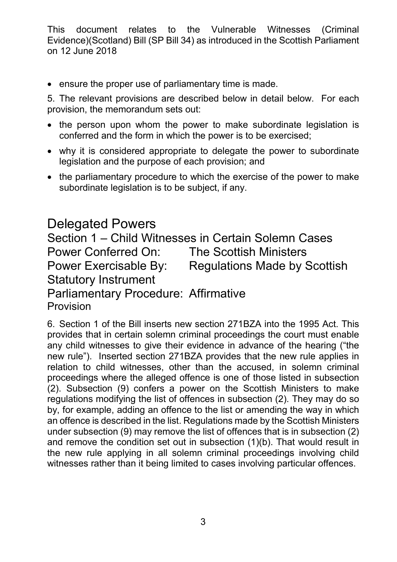• ensure the proper use of parliamentary time is made.

 provision, the memorandum sets out: 5. The relevant provisions are described below in detail below. For each

- the person upon whom the power to make subordinate legislation is conferred and the form in which the power is to be exercised;
- • why it is considered appropriate to delegate the power to subordinate legislation and the purpose of each provision; and
- • the parliamentary procedure to which the exercise of the power to make subordinate legislation is to be subject, if any.

## Delegated Powers

Section 1 – Child Witnesses in Certain Solemn Cases Power Conferred On: The Scottish Ministers Power Exercisable By: Regulations Made by Scottish Statutory Instrument Parliamentary Procedure: Affirmative

Provision

 6. Section 1 of the Bill inserts new section 271BZA into the 1995 Act. This provides that in certain solemn criminal proceedings the court must enable proceedings where the alleged offence is one of those listed in subsection (2). Subsection (9) confers a power on the Scottish Ministers to make under subsection (9) may remove the list of offences that is in subsection (2) and remove the condition set out in subsection (1)(b). That would result in the new rule applying in all solemn criminal proceedings involving child any child witnesses to give their evidence in advance of the hearing ("the new rule"). Inserted section 271BZA provides that the new rule applies in relation to child witnesses, other than the accused, in solemn criminal regulations modifying the list of offences in subsection (2). They may do so by, for example, adding an offence to the list or amending the way in which an offence is described in the list. Regulations made by the Scottish Ministers witnesses rather than it being limited to cases involving particular offences.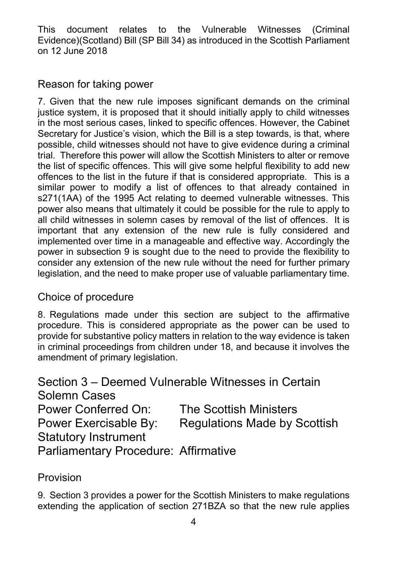### Reason for taking power

 justice system, it is proposed that it should initially apply to child witnesses trial. Therefore this power will allow the Scottish Ministers to alter or remove offences to the list in the future if that is considered appropriate. This is a all child witnesses in solemn cases by removal of the list of offences. It is important that any extension of the new rule is fully considered and power in subsection 9 is sought due to the need to provide the flexibility to legislation, and the need to make proper use of valuable parliamentary time. 7. Given that the new rule imposes significant demands on the criminal in the most serious cases, linked to specific offences. However, the Cabinet Secretary for Justice's vision, which the Bill is a step towards, is that, where possible, child witnesses should not have to give evidence during a criminal the list of specific offences. This will give some helpful flexibility to add new similar power to modify a list of offences to that already contained in s271(1AA) of the 1995 Act relating to deemed vulnerable witnesses. This power also means that ultimately it could be possible for the rule to apply to implemented over time in a manageable and effective way. Accordingly the consider any extension of the new rule without the need for further primary

### Choice of procedure

 8. Regulations made under this section are subject to the affirmative provide for substantive policy matters in relation to the way evidence is taken in criminal proceedings from children under 18, and because it involves the procedure. This is considered appropriate as the power can be used to amendment of primary legislation.

Power Conferred On:<br>Power Exercisable By: Parliamentary Procedure: Affirmative Section 3 – Deemed Vulnerable Witnesses in Certain Solemn Cases **The Scottish Ministers** Regulations Made by Scottish Statutory Instrument

### Provision

 9. Section 3 provides a power for the Scottish Ministers to make regulations extending the application of section 271BZA so that the new rule applies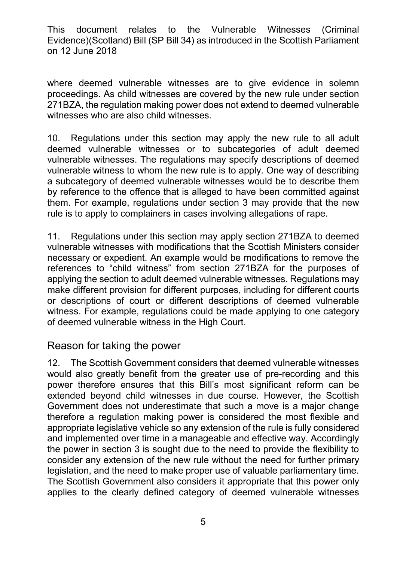proceedings. As child witnesses are covered by the new rule under section where deemed vulnerable witnesses are to give evidence in solemn 271BZA, the regulation making power does not extend to deemed vulnerable witnesses who are also child witnesses.

 vulnerable witness to whom the new rule is to apply. One way of describing a subcategory of deemed vulnerable witnesses would be to describe them by reference to the offence that is alleged to have been committed against them. For example, regulations under section 3 may provide that the new 10. Regulations under this section may apply the new rule to all adult deemed vulnerable witnesses or to subcategories of adult deemed vulnerable witnesses. The regulations may specify descriptions of deemed rule is to apply to complainers in cases involving allegations of rape.

 11. Regulations under this section may apply section 271BZA to deemed vulnerable witnesses with modifications that the Scottish Ministers consider references to "child witness" from section 271BZA for the purposes of make different provision for different purposes, including for different courts witness. For example, regulations could be made applying to one category necessary or expedient. An example would be modifications to remove the applying the section to adult deemed vulnerable witnesses. Regulations may or descriptions of court or different descriptions of deemed vulnerable of deemed vulnerable witness in the High Court.

### Reason for taking the power

 12. The Scottish Government considers that deemed vulnerable witnesses would also greatly benefit from the greater use of pre-recording and this power therefore ensures that this Bill's most significant reform can be extended beyond child witnesses in due course. However, the Scottish therefore a regulation making power is considered the most flexible and appropriate legislative vehicle so any extension of the rule is fully considered and implemented over time in a manageable and effective way. Accordingly the power in section 3 is sought due to the need to provide the flexibility to legislation, and the need to make proper use of valuable parliamentary time. applies to the clearly defined category of deemed vulnerable witnesses Government does not underestimate that such a move is a major change consider any extension of the new rule without the need for further primary The Scottish Government also considers it appropriate that this power only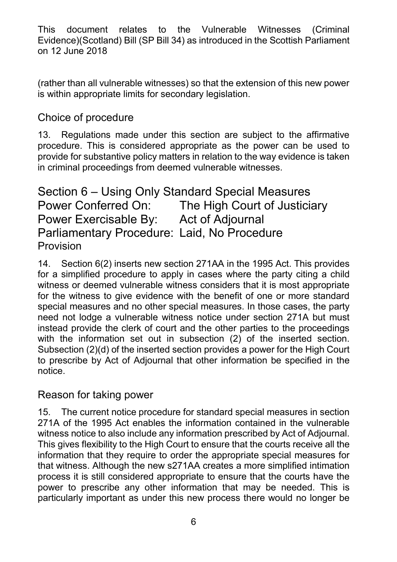(rather than all vulnerable witnesses) so that the extension of this new power is within appropriate limits for secondary legislation.<br>Choice of procedure

 13. Regulations made under this section are subject to the affirmative provide for substantive policy matters in relation to the way evidence is taken in criminal proceedings from deemed vulnerable witnesses. procedure. This is considered appropriate as the power can be used to

```
Power Conferred On:

Power Exercisable By: Act of Adjournal 
Section 6 – Using Only Standard Special Measures 
                            The High Court of Justiciary<br>Act of Adjournal
Parliamentary Procedure: Laid, No Procedure 
Provision
```
 for a simplified procedure to apply in cases where the party citing a child special measures and no other special measures. In those cases, the party instead provide the clerk of court and the other parties to the proceedings with the information set out in subsection (2) of the inserted section. Subsection (2)(d) of the inserted section provides a power for the High Court to prescribe by Act of Adjournal that other information be specified in the 14. Section 6(2) inserts new section 271AA in the 1995 Act. This provides witness or deemed vulnerable witness considers that it is most appropriate for the witness to give evidence with the benefit of one or more standard need not lodge a vulnerable witness notice under section 271A but must notice.

### Reason for taking power

 15. The current notice procedure for standard special measures in section information that they require to order the appropriate special measures for process it is still considered appropriate to ensure that the courts have the particularly important as under this new process there would no longer be 271A of the 1995 Act enables the information contained in the vulnerable witness notice to also include any information prescribed by Act of Adjournal. This gives flexibility to the High Court to ensure that the courts receive all the that witness. Although the new s271AA creates a more simplified intimation power to prescribe any other information that may be needed. This is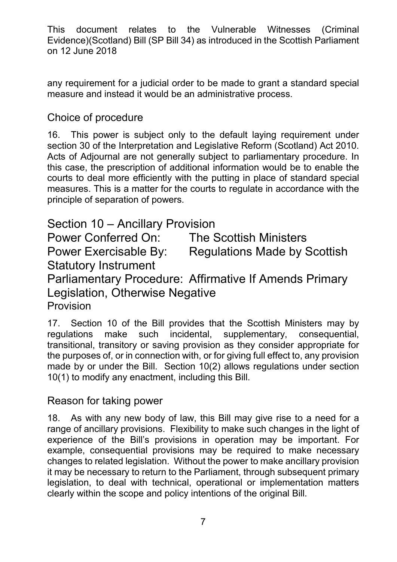any requirement for a judicial order to be made to grant a standard special measure and instead it would be an administrative process.

### Choice of procedure

 section 30 of the Interpretation and Legislative Reform (Scotland) Act 2010. this case, the prescription of additional information would be to enable the courts to deal more efficiently with the putting in place of standard special measures. This is a matter for the courts to regulate in accordance with the 16. This power is subject only to the default laying requirement under Acts of Adjournal are not generally subject to parliamentary procedure. In principle of separation of powers.

### Section 10 – Ancillary Provision

**Power Conferred On: The Scottish Ministers** Power Exercisable By: Regulations Made by Scottish Statutory Instrument

Parliamentary Procedure: Affirmative If Amends Primary Legislation, Otherwise Negative Provision

 17. Section 10 of the Bill provides that the Scottish Ministers may by the purposes of, or in connection with, or for giving full effect to, any provision made by or under the Bill. Section 10(2) allows regulations under section regulations make such incidental, supplementary, consequential, transitional, transitory or saving provision as they consider appropriate for 10(1) to modify any enactment, including this Bill.

### Reason for taking power

 range of ancillary provisions. Flexibility to make such changes in the light of example, consequential provisions may be required to make necessary changes to related legislation. Without the power to make ancillary provision it may be necessary to return to the Parliament, through subsequent primary clearly within the scope and policy intentions of the original Bill.<br>7 18. As with any new body of law, this Bill may give rise to a need for a experience of the Bill's provisions in operation may be important. For legislation, to deal with technical, operational or implementation matters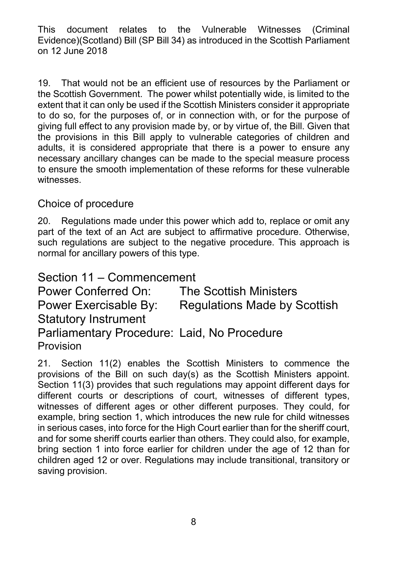19. That would not be an efficient use of resources by the Parliament or the Scottish Government. The power whilst potentially wide, is limited to the extent that it can only be used if the Scottish Ministers consider it appropriate giving full effect to any provision made by, or by virtue of, the Bill. Given that the provisions in this Bill apply to vulnerable categories of children and adults, it is considered appropriate that there is a power to ensure any necessary ancillary changes can be made to the special measure process to do so, for the purposes of, or in connection with, or for the purpose of to ensure the smooth implementation of these reforms for these vulnerable witnesses.

### Choice of procedure

 20. Regulations made under this power which add to, replace or omit any part of the text of an Act are subject to affirmative procedure. Otherwise, such regulations are subject to the negative procedure. This approach is normal for ancillary powers of this type.

**Power Conferred On:** Section 11 – Commencement **The Scottish Ministers** Power Exercisable By: Regulations Made by Scottish Statutory Instrument Parliamentary Procedure: Laid, No Procedure Provision

 21. Section 11(2) enables the Scottish Ministers to commence the provisions of the Bill on such day(s) as the Scottish Ministers appoint. Section 11(3) provides that such regulations may appoint different days for witnesses of different ages or other different purposes. They could, for in serious cases, into force for the High Court earlier than for the sheriff court, different courts or descriptions of court, witnesses of different types, example, bring section 1, which introduces the new rule for child witnesses and for some sheriff courts earlier than others. They could also, for example, bring section 1 into force earlier for children under the age of 12 than for children aged 12 or over. Regulations may include transitional, transitory or saving provision.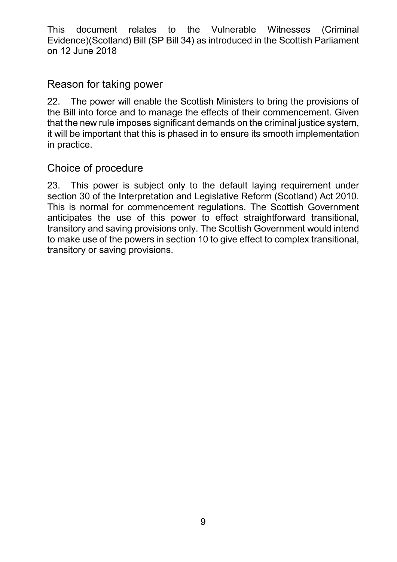### Reason for taking power

 22. The power will enable the Scottish Ministers to bring the provisions of that the new rule imposes significant demands on the criminal justice system, it will be important that this is phased in to ensure its smooth implementation the Bill into force and to manage the effects of their commencement. Given in practice.

### Choice of procedure

 23. This power is subject only to the default laying requirement under section 30 of the Interpretation and Legislative Reform (Scotland) Act 2010. This is normal for commencement regulations. The Scottish Government anticipates the use of this power to effect straightforward transitional, to make use of the powers in section 10 to give effect to complex transitional, transitory and saving provisions only. The Scottish Government would intend transitory or saving provisions.